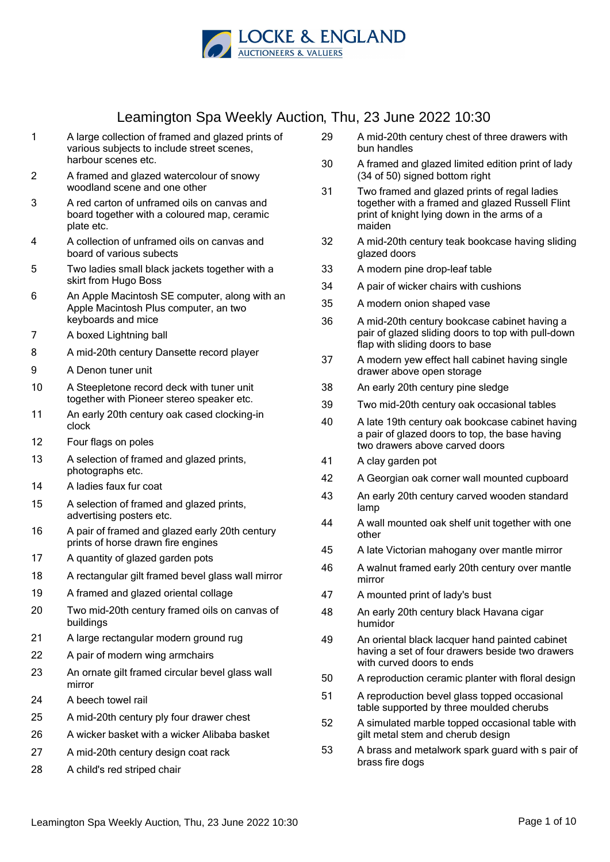

- 1 A large collection of framed and glazed prints of various subjects to include street scenes, harbour scenes etc.
- 2 A framed and glazed watercolour of snowy woodland scene and one other
- 3 A red carton of unframed oils on canvas and board together with a coloured map, ceramic plate etc.
- 4 A collection of unframed oils on canvas and board of various subects
- 5 Two ladies small black jackets together with a skirt from Hugo Boss
- 6 An Apple Macintosh SE computer, along with an Apple Macintosh Plus computer, an two keyboards and mice
- 7 A boxed Lightning ball
- 8 A mid-20th century Dansette record player
- 9 A Denon tuner unit
- 10 A Steepletone record deck with tuner unit together with Pioneer stereo speaker etc.
- 11 An early 20th century oak cased clocking-in clock
- 12 Four flags on poles
- 13 A selection of framed and glazed prints, photographs etc.
- 14 A ladies faux fur coat
- 15 A selection of framed and glazed prints, advertising posters etc.
- 16 A pair of framed and glazed early 20th century prints of horse drawn fire engines
- 17 A quantity of glazed garden pots
- 18 A rectangular gilt framed bevel glass wall mirror
- 19 A framed and glazed oriental collage
- 20 Two mid-20th century framed oils on canvas of buildings
- 21 A large rectangular modern ground rug
- 22 A pair of modern wing armchairs
- 23 An ornate gilt framed circular bevel glass wall mirror
- 24 A beech towel rail
- 25 A mid-20th century ply four drawer chest
- 26 A wicker basket with a wicker Alibaba basket
- 27 A mid-20th century design coat rack
- 28 A child's red striped chair
- 29 A mid-20th century chest of three drawers with bun handles
- 30 A framed and glazed limited edition print of lady (34 of 50) signed bottom right
- 31 Two framed and glazed prints of regal ladies together with a framed and glazed Russell Flint print of knight lying down in the arms of a maiden
- 32 A mid-20th century teak bookcase having sliding glazed doors
- 33 A modern pine drop-leaf table
- 34 A pair of wicker chairs with cushions
- 35 A modern onion shaped vase
- 36 A mid-20th century bookcase cabinet having a pair of glazed sliding doors to top with pull-down flap with sliding doors to base
- 37 A modern yew effect hall cabinet having single drawer above open storage
- 38 An early 20th century pine sledge
- 39 Two mid-20th century oak occasional tables
- 40 A late 19th century oak bookcase cabinet having a pair of glazed doors to top, the base having two drawers above carved doors
- 41 A clay garden pot
- 42 A Georgian oak corner wall mounted cupboard
- 43 An early 20th century carved wooden standard lamp
- 44 A wall mounted oak shelf unit together with one other
- 45 A late Victorian mahogany over mantle mirror
- 46 A walnut framed early 20th century over mantle mirror
- 47 A mounted print of lady's bust
- 48 An early 20th century black Havana cigar humidor
- 49 An oriental black lacquer hand painted cabinet having a set of four drawers beside two drawers with curved doors to ends
- 50 A reproduction ceramic planter with floral design
- 51 A reproduction bevel glass topped occasional table supported by three moulded cherubs
- 52 A simulated marble topped occasional table with gilt metal stem and cherub design
- 53 A brass and metalwork spark guard with s pair of brass fire dogs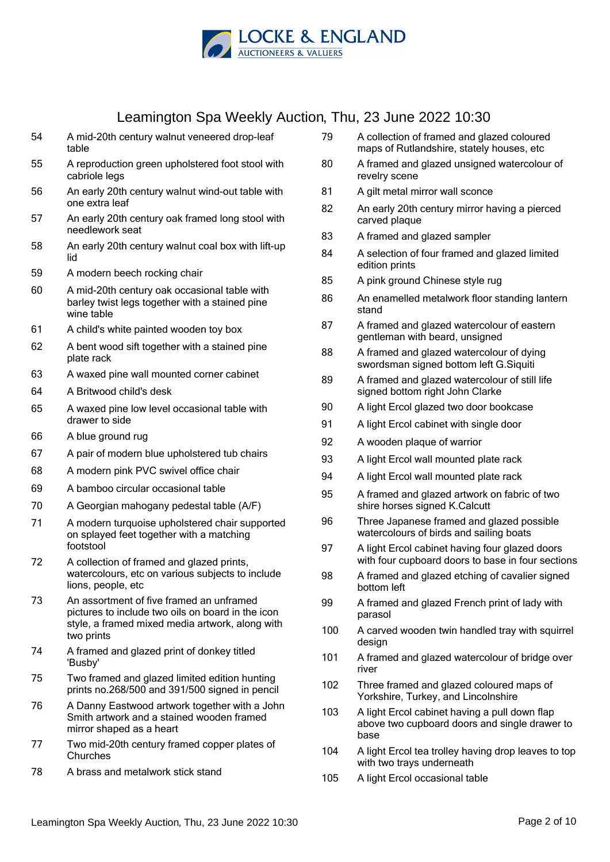

- 54 A mid-20th century walnut veneered drop-leaf table
- 55 A reproduction green upholstered foot stool with cabriole legs
- 56 An early 20th century walnut wind-out table with one extra leaf
- 57 An early 20th century oak framed long stool with needlework seat
- 58 An early 20th century walnut coal box with lift-up lid
- 59 A modern beech rocking chair
- 60 A mid-20th century oak occasional table with barley twist legs together with a stained pine wine table
- 61 A child's white painted wooden toy box
- 62 A bent wood sift together with a stained pine plate rack
- 63 A waxed pine wall mounted corner cabinet
- 64 A Britwood child's desk
- 65 A waxed pine low level occasional table with drawer to side
- 66 A blue ground rug
- 67 A pair of modern blue upholstered tub chairs
- 68 A modern pink PVC swivel office chair
- 69 A bamboo circular occasional table
- 70 A Georgian mahogany pedestal table (A/F)
- 71 A modern turquoise upholstered chair supported on splayed feet together with a matching footstool
- 72 A collection of framed and glazed prints, watercolours, etc on various subjects to include lions, people, etc
- 73 An assortment of five framed an unframed pictures to include two oils on board in the icon style, a framed mixed media artwork, along with two prints
- 74 A framed and glazed print of donkey titled 'Busby'
- 75 Two framed and glazed limited edition hunting prints no.268/500 and 391/500 signed in pencil
- 76 A Danny Eastwood artwork together with a John Smith artwork and a stained wooden framed mirror shaped as a heart
- 77 Two mid-20th century framed copper plates of **Churches**
- 78 A brass and metalwork stick stand
- 79 A collection of framed and glazed coloured maps of Rutlandshire, stately houses, etc
- 80 A framed and glazed unsigned watercolour of revelry scene
- 81 A gilt metal mirror wall sconce
- 82 An early 20th century mirror having a pierced carved plaque
- 83 A framed and glazed sampler
- 84 A selection of four framed and glazed limited edition prints
- 85 A pink ground Chinese style rug
- 86 An enamelled metalwork floor standing lantern stand
- 87 A framed and glazed watercolour of eastern gentleman with beard, unsigned
- 88 A framed and glazed watercolour of dying swordsman signed bottom left G.Siquiti
- 89 A framed and glazed watercolour of still life signed bottom right John Clarke
- 90 A light Ercol glazed two door bookcase
- 91 A light Ercol cabinet with single door
- 92 A wooden plaque of warrior
- 93 A light Ercol wall mounted plate rack
- 94 A light Ercol wall mounted plate rack
- 95 A framed and glazed artwork on fabric of two shire horses signed K.Calcutt
- 96 Three Japanese framed and glazed possible watercolours of birds and sailing boats
- 97 A light Ercol cabinet having four glazed doors with four cupboard doors to base in four sections
- 98 A framed and glazed etching of cavalier signed bottom left
- 99 A framed and glazed French print of lady with parasol
- 100 A carved wooden twin handled tray with squirrel design
- 101 A framed and glazed watercolour of bridge over river
- 102 Three framed and glazed coloured maps of Yorkshire, Turkey, and Lincolnshire
- 103 A light Ercol cabinet having a pull down flap above two cupboard doors and single drawer to base
- 104 A light Ercol tea trolley having drop leaves to top with two trays underneath
- 105 A light Ercol occasional table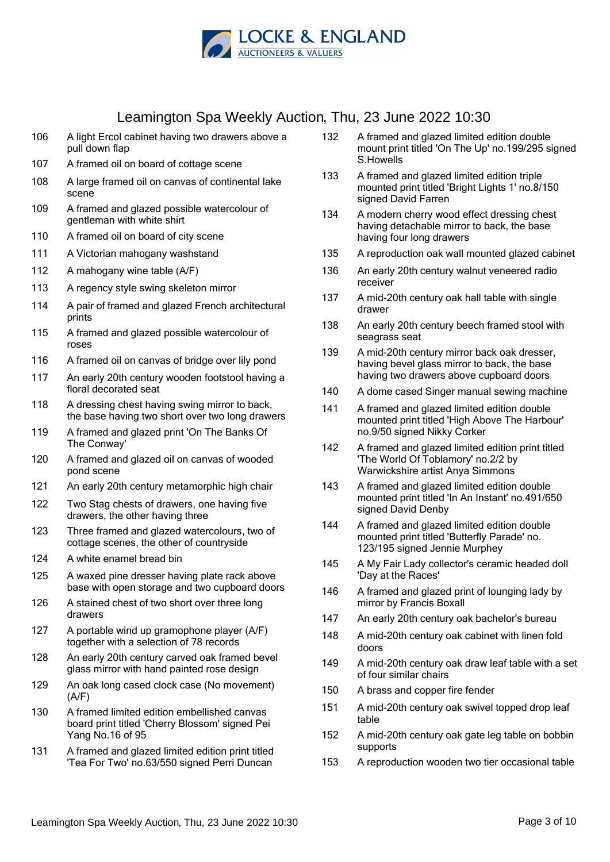

- 106 A light Ercol cabinet having two drawers above a pull down flap
- 107 A framed oil on board of cottage scene
- 108 A large framed oil on canvas of continental lake scene
- 109 A framed and glazed possible watercolour of gentleman with white shirt
- 110 A framed oil on board of city scene
- 111 A Victorian mahogany washstand
- 112 A mahogany wine table (A/F)
- 113 A regency style swing skeleton mirror
- 114 A pair of framed and glazed French architectural prints
- 115 A framed and glazed possible watercolour of roses
- 116 A framed oil on canvas of bridge over lily pond
- 117 An early 20th century wooden footstool having a floral decorated seat
- 118 A dressing chest having swing mirror to back, the base having two short over two long drawers
- 119 A framed and glazed print 'On The Banks Of The Conway'
- 120 A framed and glazed oil on canvas of wooded pond scene
- 121 An early 20th century metamorphic high chair
- 122 Two Stag chests of drawers, one having five drawers, the other having three
- 123 Three framed and glazed watercolours, two of cottage scenes, the other of countryside
- 124 A white enamel bread bin
- 125 A waxed pine dresser having plate rack above base with open storage and two cupboard doors
- 126 A stained chest of two short over three long drawers
- 127 A portable wind up gramophone player (A/F) together with a selection of 78 records
- 128 An early 20th century carved oak framed bevel glass mirror with hand painted rose design
- 129 An oak long cased clock case (No movement) (A/F)
- 130 A framed limited edition embellished canvas board print titled 'Cherry Blossom' signed Pei Yang No.16 of 95
- 131 A framed and glazed limited edition print titled 'Tea For Two' no.63/550 signed Perri Duncan
- 132 A framed and glazed limited edition double mount print titled 'On The Up' no.199/295 signed S.Howells
- 133 A framed and glazed limited edition triple mounted print titled 'Bright Lights 1' no.8/150 signed David Farren
- 134 A modern cherry wood effect dressing chest having detachable mirror to back, the base having four long drawers
- 135 A reproduction oak wall mounted glazed cabinet
- 136 An early 20th century walnut veneered radio receiver
- 137 A mid-20th century oak hall table with single drawer
- 138 An early 20th century beech framed stool with seagrass seat
- 139 A mid-20th century mirror back oak dresser, having bevel glass mirror to back, the base having two drawers above cupboard doors
- 140 A dome cased Singer manual sewing machine
- 141 A framed and glazed limited edition double mounted print titled 'High Above The Harbour' no.9/50 signed Nikky Corker
- 142 A framed and glazed limited edition print titled 'The World Of Toblamory' no.2/2 by Warwickshire artist Anya Simmons
- 143 A framed and glazed limited edition double mounted print titled 'In An Instant' no.491/650 signed David Denby
- 144 A framed and glazed limited edition double mounted print titled 'Butterfly Parade' no. 123/195 signed Jennie Murphey
- 145 A My Fair Lady collector's ceramic headed doll 'Day at the Races'
- 146 A framed and glazed print of lounging lady by mirror by Francis Boxall
- 147 An early 20th century oak bachelor's bureau
- 148 A mid-20th century oak cabinet with linen fold doors
- 149 A mid-20th century oak draw leaf table with a set of four similar chairs
- 150 A brass and copper fire fender
- 151 A mid-20th century oak swivel topped drop leaf table
- 152 A mid-20th century oak gate leg table on bobbin supports
- 153 A reproduction wooden two tier occasional table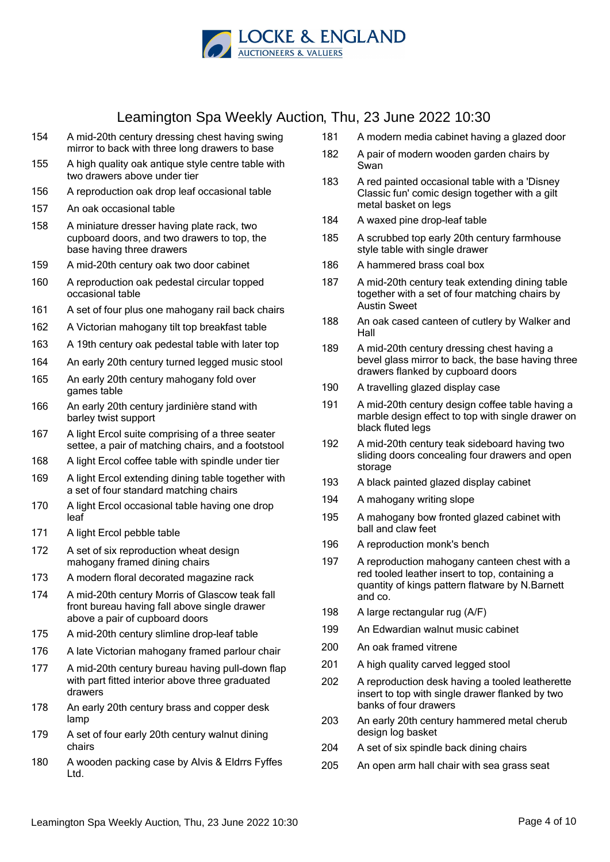

- 154 A mid-20th century dressing chest having swing mirror to back with three long drawers to base
- 155 A high quality oak antique style centre table with two drawers above under tier
- 156 A reproduction oak drop leaf occasional table
- 157 An oak occasional table
- 158 A miniature dresser having plate rack, two cupboard doors, and two drawers to top, the base having three drawers
- 159 A mid-20th century oak two door cabinet
- 160 A reproduction oak pedestal circular topped occasional table
- 161 A set of four plus one mahogany rail back chairs
- 162 A Victorian mahogany tilt top breakfast table
- 163 A 19th century oak pedestal table with later top
- 164 An early 20th century turned legged music stool
- 165 An early 20th century mahogany fold over games table
- 166 An early 20th century jardinière stand with barley twist support
- 167 A light Ercol suite comprising of a three seater settee, a pair of matching chairs, and a footstool
- 168 A light Ercol coffee table with spindle under tier
- 169 A light Ercol extending dining table together with a set of four standard matching chairs
- 170 A light Ercol occasional table having one drop leaf
- 171 A light Ercol pebble table
- 172 A set of six reproduction wheat design mahogany framed dining chairs
- 173 A modern floral decorated magazine rack
- 174 A mid-20th century Morris of Glascow teak fall front bureau having fall above single drawer above a pair of cupboard doors
- 175 A mid-20th century slimline drop-leaf table
- 176 A late Victorian mahogany framed parlour chair
- 177 A mid-20th century bureau having pull-down flap with part fitted interior above three graduated drawers
- 178 An early 20th century brass and copper desk lamp
- 179 A set of four early 20th century walnut dining chairs
- 180 A wooden packing case by Alvis & Eldrrs Fyffes Ltd.
- 181 A modern media cabinet having a glazed door
- 182 A pair of modern wooden garden chairs by Swan
- 183 A red painted occasional table with a 'Disney Classic fun' comic design together with a gilt metal basket on legs
- 184 A waxed pine drop-leaf table
- 185 A scrubbed top early 20th century farmhouse style table with single drawer
- 186 A hammered brass coal box
- 187 A mid-20th century teak extending dining table together with a set of four matching chairs by Austin Sweet
- 188 An oak cased canteen of cutlery by Walker and Hall
- 189 A mid-20th century dressing chest having a bevel glass mirror to back, the base having three drawers flanked by cupboard doors
- 190 A travelling glazed display case
- 191 A mid-20th century design coffee table having a marble design effect to top with single drawer on black fluted legs
- 192 A mid-20th century teak sideboard having two sliding doors concealing four drawers and open storage
- 193 A black painted glazed display cabinet
- 194 A mahogany writing slope
- 195 A mahogany bow fronted glazed cabinet with ball and claw feet
- 196 A reproduction monk's bench
- 197 A reproduction mahogany canteen chest with a red tooled leather insert to top, containing a quantity of kings pattern flatware by N.Barnett and co.
- 198 A large rectangular rug (A/F)
- 199 An Edwardian walnut music cabinet
- 200 An oak framed vitrene
- 201 A high quality carved legged stool
- 202 A reproduction desk having a tooled leatherette insert to top with single drawer flanked by two banks of four drawers
- 203 An early 20th century hammered metal cherub design log basket
- 204 A set of six spindle back dining chairs
- 205 An open arm hall chair with sea grass seat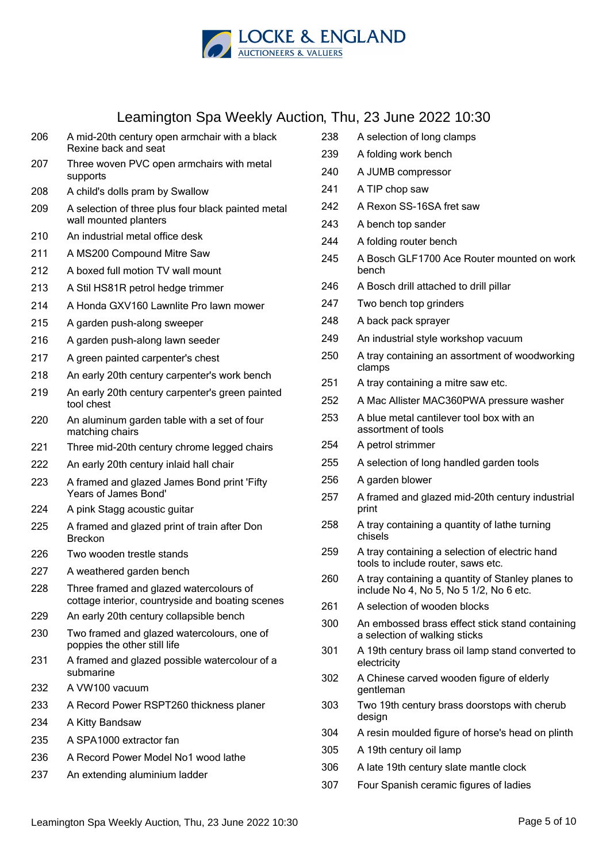

# Leamington Spa Weekly Auction, Th

| 206 | A mid-20th century open armchair with a black<br>Rexine back and seat                       |
|-----|---------------------------------------------------------------------------------------------|
| 207 | Three woven PVC open armchairs with metal<br>supports                                       |
| 208 | A child's dolls pram by Swallow                                                             |
| 209 | A selection of three plus four black painted metal<br>wall mounted planters                 |
| 210 | An industrial metal office desk                                                             |
| 211 | A MS200 Compound Mitre Saw                                                                  |
| 212 | A boxed full motion TV wall mount                                                           |
| 213 | A Stil HS81R petrol hedge trimmer                                                           |
| 214 | A Honda GXV160 Lawnlite Pro lawn mower                                                      |
| 215 | A garden push-along sweeper                                                                 |
| 216 | A garden push-along lawn seeder                                                             |
| 217 | A green painted carpenter's chest                                                           |
| 218 | An early 20th century carpenter's work bench                                                |
| 219 | An early 20th century carpenter's green painted<br>tool chest                               |
| 220 | An aluminum garden table with a set of four<br>matching chairs                              |
| 221 | Three mid-20th century chrome legged chairs                                                 |
| 222 | An early 20th century inlaid hall chair                                                     |
| 223 | A framed and glazed James Bond print 'Fifty<br>Years of James Bond'                         |
| 224 | A pink Stagg acoustic guitar                                                                |
| 225 | A framed and glazed print of train after Don<br><b>Breckon</b>                              |
| 226 | Two wooden trestle stands                                                                   |
| 227 | A weathered garden bench                                                                    |
| 228 | Three framed and glazed watercolours of<br>cottage interior, countryside and boating scenes |
| 229 | An early 20th century collapsible bench                                                     |
| 230 | Two framed and glazed watercolours, one of<br>poppies the other still life                  |
| 231 | A framed and glazed possible watercolour of a<br>submarine                                  |
| 232 | A VW100 vacuum                                                                              |
| 233 | A Record Power RSPT260 thickness planer                                                     |
| 234 | A Kitty Bandsaw                                                                             |
| 235 | A SPA1000 extractor fan                                                                     |
| 236 | A Record Power Model No1 wood lathe                                                         |
| 237 | An extending aluminium ladder                                                               |

|     | ิ Thu, 23 June 2022 10:30                                                                    |
|-----|----------------------------------------------------------------------------------------------|
| 238 | A selection of long clamps                                                                   |
| 239 | A folding work bench                                                                         |
| 240 | A JUMB compressor                                                                            |
| 241 | A TIP chop saw                                                                               |
| 242 | A Rexon SS-16SA fret saw                                                                     |
| 243 | A bench top sander                                                                           |
| 244 | A folding router bench                                                                       |
| 245 | A Bosch GLF1700 Ace Router mounted on work<br>bench                                          |
| 246 | A Bosch drill attached to drill pillar                                                       |
| 247 | Two bench top grinders                                                                       |
| 248 | A back pack sprayer                                                                          |
| 249 | An industrial style workshop vacuum                                                          |
| 250 | A tray containing an assortment of woodworking<br>clamps                                     |
| 251 | A tray containing a mitre saw etc.                                                           |
| 252 | A Mac Allister MAC360PWA pressure washer                                                     |
| 253 | A blue metal cantilever tool box with an<br>assortment of tools                              |
| 254 | A petrol strimmer                                                                            |
| 255 | A selection of long handled garden tools                                                     |
| 256 | A garden blower                                                                              |
| 257 | A framed and glazed mid-20th century industrial<br>print                                     |
| 258 | A tray containing a quantity of lathe turning<br>chisels                                     |
| 259 | A tray containing a selection of electric hand<br>tools to include router, saws etc.         |
| 260 | A tray containing a quantity of Stanley planes to<br>include No 4, No 5, No 5 1/2, No 6 etc. |
| 261 | A selection of wooden blocks                                                                 |
| 300 | An embossed brass effect stick stand containing<br>a selection of walking sticks             |
| 301 | A 19th century brass oil lamp stand converted to<br>electricity                              |
| 302 | A Chinese carved wooden figure of elderly<br>gentleman                                       |
| 303 | Two 19th century brass doorstops with cherub<br>design                                       |
| 304 | A resin moulded figure of horse's head on plinth                                             |
| 305 | A 19th century oil lamp                                                                      |
| 306 | A late 19th century slate mantle clock                                                       |
| 307 | Four Spanish ceramic figures of ladies                                                       |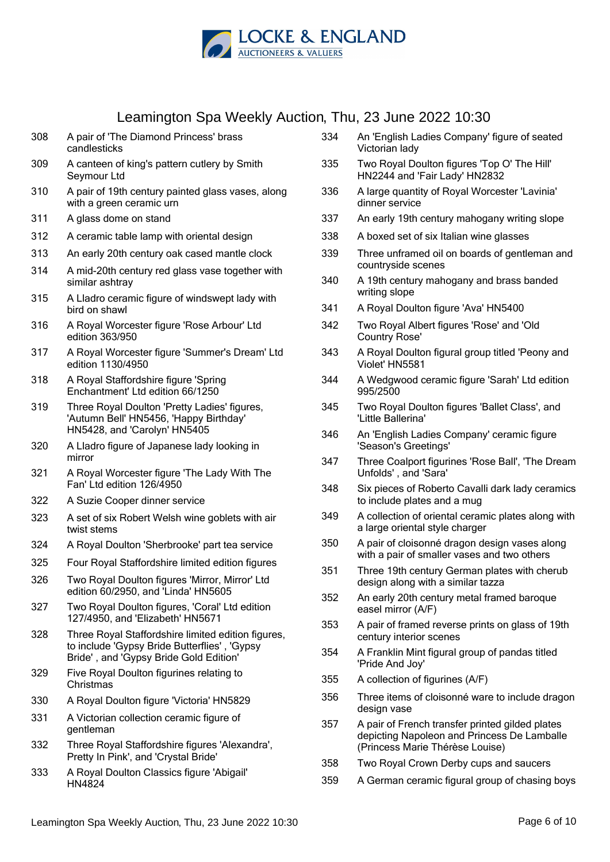

- 308 A pair of 'The Diamond Princess' brass candlesticks
- 309 A canteen of king's pattern cutlery by Smith Seymour Ltd
- 310 A pair of 19th century painted glass vases, along with a green ceramic urn
- 311 A glass dome on stand
- 312 A ceramic table lamp with oriental design
- 313 An early 20th century oak cased mantle clock
- 314 A mid-20th century red glass vase together with similar ashtray
- 315 A Lladro ceramic figure of windswept lady with bird on shawl
- 316 A Royal Worcester figure 'Rose Arbour' Ltd edition 363/950
- 317 A Royal Worcester figure 'Summer's Dream' Ltd edition 1130/4950
- 318 A Royal Staffordshire figure 'Spring Enchantment' Ltd edition 66/1250
- 319 Three Royal Doulton 'Pretty Ladies' figures, 'Autumn Bell' HN5456, 'Happy Birthday' HN5428, and 'Carolyn' HN5405
- 320 A Lladro figure of Japanese lady looking in mirror
- 321 A Royal Worcester figure 'The Lady With The Fan' Ltd edition 126/4950
- 322 A Suzie Cooper dinner service
- 323 A set of six Robert Welsh wine goblets with air twist stems
- 324 A Royal Doulton 'Sherbrooke' part tea service
- 325 Four Royal Staffordshire limited edition figures
- 326 Two Royal Doulton figures 'Mirror, Mirror' Ltd edition 60/2950, and 'Linda' HN5605
- 327 Two Royal Doulton figures, 'Coral' Ltd edition 127/4950, and 'Elizabeth' HN5671
- 328 Three Royal Staffordshire limited edition figures, to include 'Gypsy Bride Butterflies' , 'Gypsy Bride' , and 'Gypsy Bride Gold Edition'
- 329 Five Royal Doulton figurines relating to **Christmas**
- 330 A Royal Doulton figure 'Victoria' HN5829
- 331 A Victorian collection ceramic figure of gentleman
- 332 Three Royal Staffordshire figures 'Alexandra', Pretty In Pink', and 'Crystal Bride'
- 333 A Royal Doulton Classics figure 'Abigail' HN4824
- 334 An 'English Ladies Company' figure of seated Victorian lady
- 335 Two Royal Doulton figures 'Top O' The Hill' HN2244 and 'Fair Lady' HN2832
- 336 A large quantity of Royal Worcester 'Lavinia' dinner service
- 337 An early 19th century mahogany writing slope
- 338 A boxed set of six Italian wine glasses
- 339 Three unframed oil on boards of gentleman and countryside scenes
- 340 A 19th century mahogany and brass banded writing slope
- 341 A Royal Doulton figure 'Ava' HN5400
- 342 Two Royal Albert figures 'Rose' and 'Old Country Rose'
- 343 A Royal Doulton figural group titled 'Peony and Violet' HN5581
- 344 A Wedgwood ceramic figure 'Sarah' Ltd edition 995/2500
- 345 Two Royal Doulton figures 'Ballet Class', and 'Little Ballerina'
- 346 An 'English Ladies Company' ceramic figure 'Season's Greetings'
- 347 Three Coalport figurines 'Rose Ball', 'The Dream Unfolds' , and 'Sara'
- 348 Six pieces of Roberto Cavalli dark lady ceramics to include plates and a mug
- 349 A collection of oriental ceramic plates along with a large oriental style charger
- 350 A pair of cloisonné dragon design vases along with a pair of smaller vases and two others
- 351 Three 19th century German plates with cherub design along with a similar tazza
- 352 An early 20th century metal framed baroque easel mirror (A/F)
- 353 A pair of framed reverse prints on glass of 19th century interior scenes
- 354 A Franklin Mint figural group of pandas titled 'Pride And Joy'
- 355 A collection of figurines (A/F)
- 356 Three items of cloisonné ware to include dragon design vase
- 357 A pair of French transfer printed gilded plates depicting Napoleon and Princess De Lamballe (Princess Marie Thérèse Louise)
- 358 Two Royal Crown Derby cups and saucers
- 359 A German ceramic figural group of chasing boys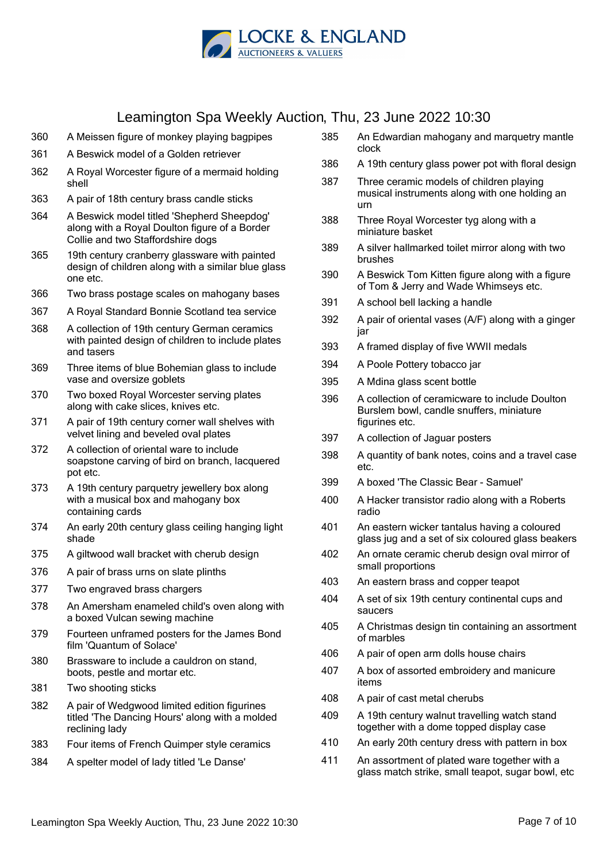

- 360 A Meissen figure of monkey playing bagpipes
- 361 A Beswick model of a Golden retriever
- 362 A Royal Worcester figure of a mermaid holding shell
- 363 A pair of 18th century brass candle sticks
- 364 A Beswick model titled 'Shepherd Sheepdog' along with a Royal Doulton figure of a Border Collie and two Staffordshire dogs
- 365 19th century cranberry glassware with painted design of children along with a similar blue glass one etc.
- 366 Two brass postage scales on mahogany bases
- 367 A Royal Standard Bonnie Scotland tea service
- 368 A collection of 19th century German ceramics with painted design of children to include plates and tasers
- 369 Three items of blue Bohemian glass to include vase and oversize goblets
- 370 Two boxed Royal Worcester serving plates along with cake slices, knives etc.
- 371 A pair of 19th century corner wall shelves with velvet lining and beveled oval plates
- 372 A collection of oriental ware to include soapstone carving of bird on branch, lacquered pot etc.
- 373 A 19th century parquetry jewellery box along with a musical box and mahogany box containing cards
- 374 An early 20th century glass ceiling hanging light shade
- 375 A giltwood wall bracket with cherub design
- 376 A pair of brass urns on slate plinths
- 377 Two engraved brass chargers
- 378 An Amersham enameled child's oven along with a boxed Vulcan sewing machine
- 379 Fourteen unframed posters for the James Bond film 'Quantum of Solace'
- 380 Brassware to include a cauldron on stand, boots, pestle and mortar etc.
- 381 Two shooting sticks
- 382 A pair of Wedgwood limited edition figurines titled 'The Dancing Hours' along with a molded reclining lady
- 383 Four items of French Quimper style ceramics
- 384 A spelter model of lady titled 'Le Danse'
- 385 An Edwardian mahogany and marquetry mantle clock
- 386 A 19th century glass power pot with floral design
- 387 Three ceramic models of children playing musical instruments along with one holding an urn
- 388 Three Royal Worcester tyg along with a miniature basket
- 389 A silver hallmarked toilet mirror along with two brushes
- 390 A Beswick Tom Kitten figure along with a figure of Tom & Jerry and Wade Whimseys etc.
- 391 A school bell lacking a handle
- 392 A pair of oriental vases (A/F) along with a ginger jar
- 393 A framed display of five WWII medals
- 394 A Poole Pottery tobacco jar
- 395 A Mdina glass scent bottle
- 396 A collection of ceramicware to include Doulton Burslem bowl, candle snuffers, miniature figurines etc.
- 397 A collection of Jaguar posters
- 398 A quantity of bank notes, coins and a travel case etc.
- 399 A boxed 'The Classic Bear Samuel'
- 400 A Hacker transistor radio along with a Roberts radio
- 401 An eastern wicker tantalus having a coloured glass jug and a set of six coloured glass beakers
- 402 An ornate ceramic cherub design oval mirror of small proportions
- 403 An eastern brass and copper teapot
- 404 A set of six 19th century continental cups and saucers
- 405 A Christmas design tin containing an assortment of marbles
- 406 A pair of open arm dolls house chairs
- 407 A box of assorted embroidery and manicure items
- 408 A pair of cast metal cherubs
- 409 A 19th century walnut travelling watch stand together with a dome topped display case
- 410 An early 20th century dress with pattern in box
- 411 An assortment of plated ware together with a glass match strike, small teapot, sugar bowl, etc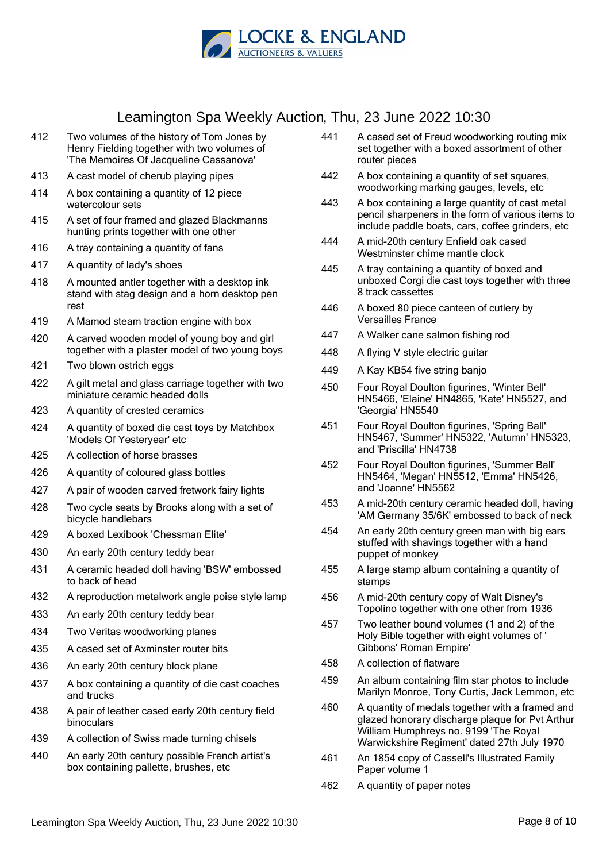

- 412 Two volumes of the history of Tom Jones by Henry Fielding together with two volumes of 'The Memoires Of Jacqueline Cassanova'
- 413 A cast model of cherub playing pipes
- 414 A box containing a quantity of 12 piece watercolour sets
- 415 A set of four framed and glazed Blackmanns hunting prints together with one other
- 416 A tray containing a quantity of fans
- 417 A quantity of lady's shoes
- 418 A mounted antler together with a desktop ink stand with stag design and a horn desktop pen rest
- 419 A Mamod steam traction engine with box
- 420 A carved wooden model of young boy and girl together with a plaster model of two young boys
- 421 Two blown ostrich eggs
- 422 A gilt metal and glass carriage together with two miniature ceramic headed dolls
- 423 A quantity of crested ceramics
- 424 A quantity of boxed die cast toys by Matchbox 'Models Of Yesteryear' etc
- 425 A collection of horse brasses
- 426 A quantity of coloured glass bottles
- 427 A pair of wooden carved fretwork fairy lights
- 428 Two cycle seats by Brooks along with a set of bicycle handlebars
- 429 A boxed Lexibook 'Chessman Elite'
- 430 An early 20th century teddy bear
- 431 A ceramic headed doll having 'BSW' embossed to back of head
- 432 A reproduction metalwork angle poise style lamp
- 433 An early 20th century teddy bear
- 434 Two Veritas woodworking planes
- 435 A cased set of Axminster router bits
- 436 An early 20th century block plane
- 437 A box containing a quantity of die cast coaches and trucks
- 438 A pair of leather cased early 20th century field binoculars
- 439 A collection of Swiss made turning chisels
- 440 An early 20th century possible French artist's box containing pallette, brushes, etc
- 441 A cased set of Freud woodworking routing mix set together with a boxed assortment of other router pieces
- 442 A box containing a quantity of set squares, woodworking marking gauges, levels, etc
- 443 A box containing a large quantity of cast metal pencil sharpeners in the form of various items to include paddle boats, cars, coffee grinders, etc
- 444 A mid-20th century Enfield oak cased Westminster chime mantle clock
- 445 A tray containing a quantity of boxed and unboxed Corgi die cast toys together with three 8 track cassettes
- 446 A boxed 80 piece canteen of cutlery by Versailles France
- 447 A Walker cane salmon fishing rod
- 448 A flying V style electric guitar
- 449 A Kay KB54 five string banjo
- 450 Four Royal Doulton figurines, 'Winter Bell' HN5466, 'Elaine' HN4865, 'Kate' HN5527, and 'Georgia' HN5540
- 451 Four Royal Doulton figurines, 'Spring Ball' HN5467, 'Summer' HN5322, 'Autumn' HN5323, and 'Priscilla' HN4738
- 452 Four Royal Doulton figurines, 'Summer Ball' HN5464, 'Megan' HN5512, 'Emma' HN5426, and 'Joanne' HN5562
- 453 A mid-20th century ceramic headed doll, having 'AM Germany 35/6K' embossed to back of neck
- 454 An early 20th century green man with big ears stuffed with shavings together with a hand puppet of monkey
- 455 A large stamp album containing a quantity of stamps
- 456 A mid-20th century copy of Walt Disney's Topolino together with one other from 1936
- 457 Two leather bound volumes (1 and 2) of the Holy Bible together with eight volumes of ' Gibbons' Roman Empire'
- 458 A collection of flatware
- 459 An album containing film star photos to include Marilyn Monroe, Tony Curtis, Jack Lemmon, etc
- 460 A quantity of medals together with a framed and glazed honorary discharge plaque for Pvt Arthur William Humphreys no. 9199 'The Royal Warwickshire Regiment' dated 27th July 1970
- 461 An 1854 copy of Cassell's Illustrated Family Paper volume 1
- 462 A quantity of paper notes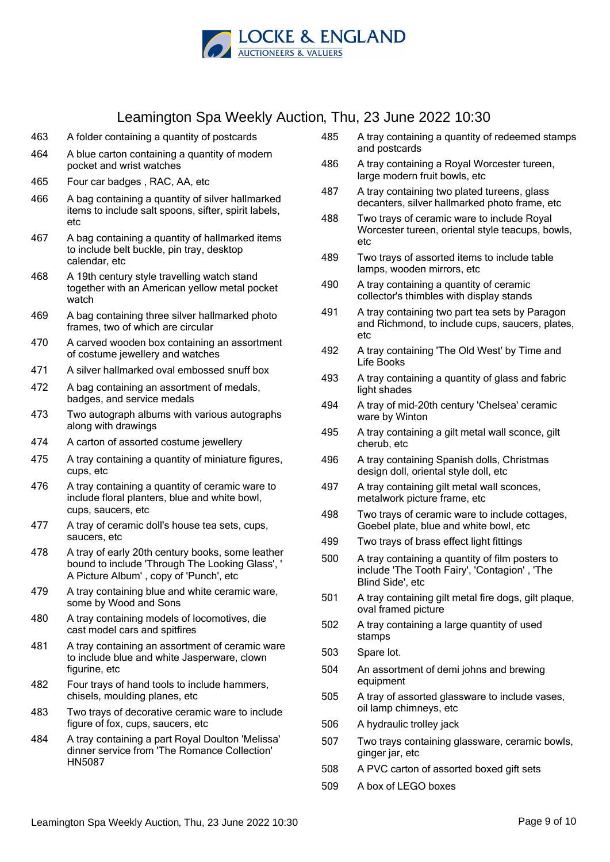

- 463 A folder containing a quantity of postcards
- 464 A blue carton containing a quantity of modern pocket and wrist watches
- 465 Four car badges , RAC, AA, etc
- 466 A bag containing a quantity of silver hallmarked items to include salt spoons, sifter, spirit labels,  $\mathsf{a}$ tc
- 467 A bag containing a quantity of hallmarked items to include belt buckle, pin tray, desktop calendar, etc
- 468 A 19th century style travelling watch stand together with an American yellow metal pocket watch
- 469 A bag containing three silver hallmarked photo frames, two of which are circular
- 470 A carved wooden box containing an assortment of costume jewellery and watches
- 471 A silver hallmarked oval embossed snuff box
- 472 A bag containing an assortment of medals, badges, and service medals
- 473 Two autograph albums with various autographs along with drawings
- 474 A carton of assorted costume jewellery
- 475 A tray containing a quantity of miniature figures, cups, etc
- 476 A tray containing a quantity of ceramic ware to include floral planters, blue and white bowl, cups, saucers, etc
- 477 A tray of ceramic doll's house tea sets, cups, saucers, etc
- 478 A tray of early 20th century books, some leather bound to include 'Through The Looking Glass', ' A Picture Album' , copy of 'Punch', etc
- 479 A tray containing blue and white ceramic ware, some by Wood and Sons
- 480 A tray containing models of locomotives, die cast model cars and spitfires
- 481 A tray containing an assortment of ceramic ware to include blue and white Jasperware, clown figurine, etc
- 482 Four trays of hand tools to include hammers, chisels, moulding planes, etc
- 483 Two trays of decorative ceramic ware to include figure of fox, cups, saucers, etc
- 484 A tray containing a part Royal Doulton 'Melissa' dinner service from 'The Romance Collection' HN5087
- 485 A tray containing a quantity of redeemed stamps and postcards
- 486 A tray containing a Royal Worcester tureen, large modern fruit bowls, etc
- 487 A tray containing two plated tureens, glass decanters, silver hallmarked photo frame, etc
- 488 Two trays of ceramic ware to include Royal Worcester tureen, oriental style teacups, bowls, etc
- 489 Two trays of assorted items to include table lamps, wooden mirrors, etc
- 490 A tray containing a quantity of ceramic collector's thimbles with display stands
- 491 A tray containing two part tea sets by Paragon and Richmond, to include cups, saucers, plates, etc
- 492 A tray containing 'The Old West' by Time and Life Books
- 493 A tray containing a quantity of glass and fabric light shades
- 494 A tray of mid-20th century 'Chelsea' ceramic ware by Winton
- 495 A tray containing a gilt metal wall sconce, gilt cherub, etc
- 496 A tray containing Spanish dolls, Christmas design doll, oriental style doll, etc
- 497 A tray containing gilt metal wall sconces, metalwork picture frame, etc
- 498 Two trays of ceramic ware to include cottages, Goebel plate, blue and white bowl, etc
- 499 Two trays of brass effect light fittings
- 500 A tray containing a quantity of film posters to include 'The Tooth Fairy', 'Contagion' , 'The Blind Side', etc
- 501 A tray containing gilt metal fire dogs, gilt plaque, oval framed picture
- 502 A tray containing a large quantity of used stamps
- 503 Spare lot.
- 504 An assortment of demi johns and brewing equipment
- 505 A tray of assorted glassware to include vases, oil lamp chimneys, etc
- 506 A hydraulic trolley jack
- 507 Two trays containing glassware, ceramic bowls, ginger jar, etc
- 508 A PVC carton of assorted boxed gift sets
- 509 A box of LEGO boxes